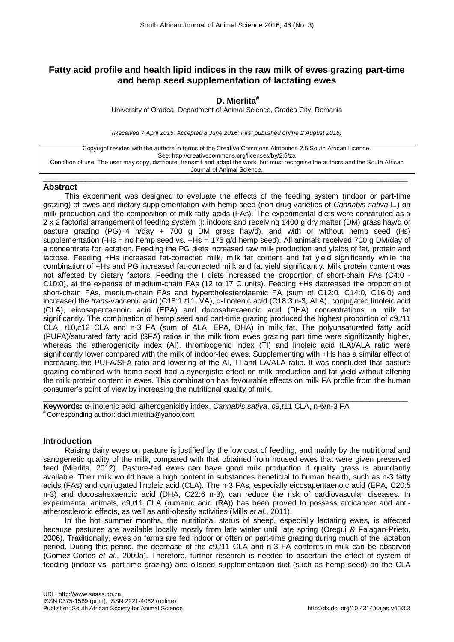# **Fatty acid profile and health lipid indices in the raw milk of ewes grazing part-time and hemp seed supplementation of lactating ewes**

# **D. Mierlita#**

University of Oradea, Department of Animal Science, Oradea City, Romania

*(Received 7 April 2015; Accepted 8 June 2016; First published online 2 August 2016)*

Copyright resides with the authors in terms of the Creative Commons Attribution 2.5 South African Licence. See: http://creativecommons.org/licenses/by/2.5/za Condition of use: The user may copy, distribute, transmit and adapt the work, but must recognise the authors and the South African Journal of Animal Science.

### $\_$  ,  $\_$  ,  $\_$  ,  $\_$  ,  $\_$  ,  $\_$  ,  $\_$  ,  $\_$  ,  $\_$  ,  $\_$  ,  $\_$  ,  $\_$  ,  $\_$  ,  $\_$  ,  $\_$  ,  $\_$  ,  $\_$  ,  $\_$  ,  $\_$  ,  $\_$  ,  $\_$  ,  $\_$  ,  $\_$  ,  $\_$  ,  $\_$  ,  $\_$  ,  $\_$  ,  $\_$  ,  $\_$  ,  $\_$  ,  $\_$  ,  $\_$  ,  $\_$  ,  $\_$  ,  $\_$  ,  $\_$  ,  $\_$  , **Abstract**

This experiment was designed to evaluate the effects of the feeding system (indoor or part-time grazing) of ewes and dietary supplementation with hemp seed (non-drug varieties of *Cannabis sativa* L.) on milk production and the composition of milk fatty acids (FAs). The experimental diets were constituted as a 2 x 2 factorial arrangement of feeding system (I: indoors and receiving 1400 g dry matter (DM) grass hay/d or pasture grazing (PG)–4 h/day + 700 g DM grass hay/d), and with or without hemp seed (Hs) supplementation (-Hs = no hemp seed vs. +Hs = 175 g/d hemp seed). All animals received 700 g DM/day of a concentrate for lactation. Feeding the PG diets increased raw milk production and yields of fat, protein and lactose. Feeding +Hs increased fat-corrected milk, milk fat content and fat yield significantly while the combination of +Hs and PG increased fat-corrected milk and fat yield significantly. Milk protein content was not affected by dietary factors. Feeding the I diets increased the proportion of short-chain FAs (C4:0 - C10:0), at the expense of medium-chain FAs (12 to 17 C units). Feeding +Hs decreased the proportion of short-chain FAs, medium-chain FAs and hypercholesterolaemic FA (sum of C12:0, C14:0, C16:0) and increased the *trans*-vaccenic acid (C18:1 *t*11, VA), α-linolenic acid (C18:3 n-3, ALA), conjugated linoleic acid (CLA), eicosapentaenoic acid (EPA) and docosahexaenoic acid (DHA) concentrations in milk fat significantly. The combination of hemp seed and part-time grazing produced the highest proportion of *c*9,*t*11 CLA, *t*10,*c*12 CLA and n-3 FA (sum of ALA, EPA, DHA) in milk fat. The polyunsaturated fatty acid (PUFA)/saturated fatty acid (SFA) ratios in the milk from ewes grazing part time were significantly higher, whereas the atherogenicity index (AI), thrombogenic index (TI) and linoleic acid (LA)/ALA ratio were significantly lower compared with the milk of indoor-fed ewes. Supplementing with +Hs has a similar effect of increasing the PUFA/SFA ratio and lowering of the AI, TI and LA/ALA ratio. It was concluded that pasture grazing combined with hemp seed had a synergistic effect on milk production and fat yield without altering the milk protein content in ewes. This combination has favourable effects on milk FA profile from the human consumer's point of view by increasing the nutritional quality of milk.

 $\_$  ,  $\_$  ,  $\_$  ,  $\_$  ,  $\_$  ,  $\_$  ,  $\_$  ,  $\_$  ,  $\_$  ,  $\_$  ,  $\_$  ,  $\_$  ,  $\_$  ,  $\_$  ,  $\_$  ,  $\_$  ,  $\_$  ,  $\_$  ,  $\_$  ,  $\_$  ,  $\_$  ,  $\_$  ,  $\_$  ,  $\_$  ,  $\_$  ,  $\_$  ,  $\_$  ,  $\_$  ,  $\_$  ,  $\_$  ,  $\_$  ,  $\_$  ,  $\_$  ,  $\_$  ,  $\_$  ,  $\_$  ,  $\_$  , **Keywords:** α-linolenic acid, atherogenicitiy index, *Cannabis sativa*, *c*9,*t*11 CLA, n-6/n-3 FA # Corresponding author: dadi.mierlita@yahoo.com

## **Introduction**

Raising dairy ewes on pasture is justified by the low cost of feeding, and mainly by the nutritional and sanogenetic quality of the milk, compared with that obtained from housed ewes that were given preserved feed (Mierlita, 2012). Pasture-fed ewes can have good milk production if quality grass is abundantly available. Their milk would have a high content in substances beneficial to human health, such as n-3 fatty acids (FAs) and conjugated linoleic acid (CLA). The n-3 FAs, especially eicosapentaenoic acid (EPA, C20:5 n-3) and docosahexaenoic acid (DHA, C22:6 n-3), can reduce the risk of cardiovascular diseases. In experimental animals, *c*9,*t*11 CLA (rumenic acid (RA)) has been proved to possess anticancer and antiatherosclerotic effects, as well as anti-obesity activities (Mills *et al*., 2011).

In the hot summer months, the nutritional status of sheep, especially lactating ewes, is affected because pastures are available locally mostly from late winter until late spring (Oregui & Falagan-Prieto, 2006). Traditionally, ewes on farms are fed indoor or often on part-time grazing during much of the lactation period. During this period, the decrease of the *c*9,*t*11 CLA and n-3 FA contents in milk can be observed (Gomez-Cortes *et al*., 2009a). Therefore, further research is needed to ascertain the effect of system of feeding (indoor vs. part-time grazing) and oilseed supplementation diet (such as hemp seed) on the CLA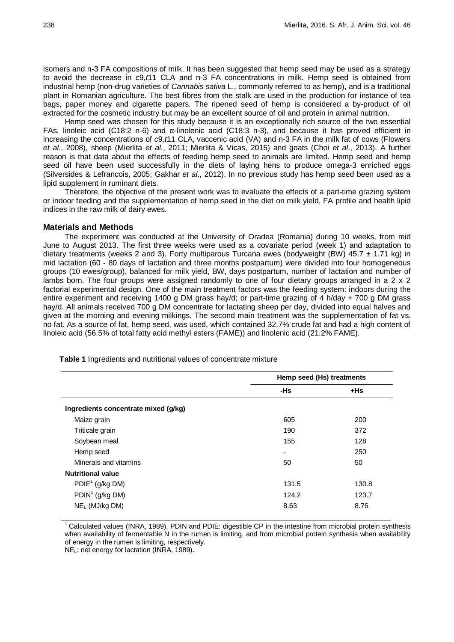isomers and n-3 FA compositions of milk. It has been suggested that hemp seed may be used as a strategy to avoid the decrease in *c*9,*t*11 CLA and n-3 FA concentrations in milk. Hemp seed is obtained from industrial hemp (non-drug varieties of *Cannabis sativa* L., commonly referred to as hemp), and is a traditional plant in Romanian agriculture. The best fibres from the stalk are used in the production for instance of tea bags, paper money and cigarette papers. The ripened seed of hemp is considered a by-product of oil extracted for the cosmetic industry but may be an excellent source of oil and protein in animal nutrition.

Hemp seed was chosen for this study because it is an exceptionally rich source of the two essential FAs, linoleic acid (C18:2 n-6) and α-linolenic acid (C18:3 n-3), and because it has proved efficient in increasing the concentrations of *c*9,*t*11 CLA, vaccenic acid (VA) and n-3 FA in the milk fat of cows (Flowers *et al*., 2008), sheep (Mierlita *et al*., 2011; Mierlita & Vicas, 2015) and goats (Choi *et al*., 2013). A further reason is that data about the effects of feeding hemp seed to animals are limited. Hemp seed and hemp seed oil have been used successfully in the diets of laying hens to produce omega-3 enriched eggs (Silversides & Lefrancois, 2005; Gakhar *et al*., 2012). In no previous study has hemp seed been used as a lipid supplement in ruminant diets.

Therefore, the objective of the present work was to evaluate the effects of a part-time grazing system or indoor feeding and the supplementation of hemp seed in the diet on milk yield, FA profile and health lipid indices in the raw milk of dairy ewes.

#### **Materials and Methods**

The experiment was conducted at the University of Oradea (Romania) during 10 weeks, from mid June to August 2013. The first three weeks were used as a covariate period (week 1) and adaptation to dietary treatments (weeks 2 and 3). Forty multiparous Turcana ewes (bodyweight (BW) 45.7  $\pm$  1.71 kg) in mid lactation (60 - 80 days of lactation and three months postpartum) were divided into four homogeneous groups (10 ewes/group), balanced for milk yield, BW, days postpartum, number of lactation and number of lambs born. The four groups were assigned randomly to one of four dietary groups arranged in a 2 x 2 factorial experimental design. One of the main treatment factors was the feeding system: indoors during the entire experiment and receiving 1400 g DM grass hay/d; or part-time grazing of 4 h/day + 700 g DM grass hay/d. All animals received 700 g DM concentrate for lactating sheep per day, divided into equal halves and given at the morning and evening milkings. The second main treatment was the supplementation of fat vs. no fat. As a source of fat, hemp seed, was used, which contained 32.7% crude fat and had a high content of linoleic acid (56.5% of total fatty acid methyl esters (FAME)) and linolenic acid (21.2% FAME).

|                                      | Hemp seed (Hs) treatments |        |  |  |
|--------------------------------------|---------------------------|--------|--|--|
|                                      | -Hs                       | $+$ Hs |  |  |
| Ingredients concentrate mixed (g/kg) |                           |        |  |  |
| Maize grain                          | 605                       | 200    |  |  |
| Triticale grain                      | 190                       | 372    |  |  |
| Soybean meal                         | 155                       | 128    |  |  |
| Hemp seed                            | $\overline{\phantom{0}}$  | 250    |  |  |
| Minerals and vitamins                | 50                        | 50     |  |  |
| <b>Nutritional value</b>             |                           |        |  |  |
| $PDIE1$ (g/kg DM)                    | 131.5                     | 130.8  |  |  |
| $PDIN1$ (g/kg DM)                    | 124.2                     | 123.7  |  |  |
| $NEL$ (MJ/kg DM)                     | 8.63                      | 8.76   |  |  |

**Table 1** Ingredients and nutritional values of concentrate mixture

Calculated values (INRA, 1989). PDIN and PDIE: digestible CP in the intestine from microbial protein synthesis when availability of fermentable N in the rumen is limiting, and from microbial protein synthesis when availability of energy in the rumen is limiting, respectively.

NEL: net energy for lactation (INRA, 1989).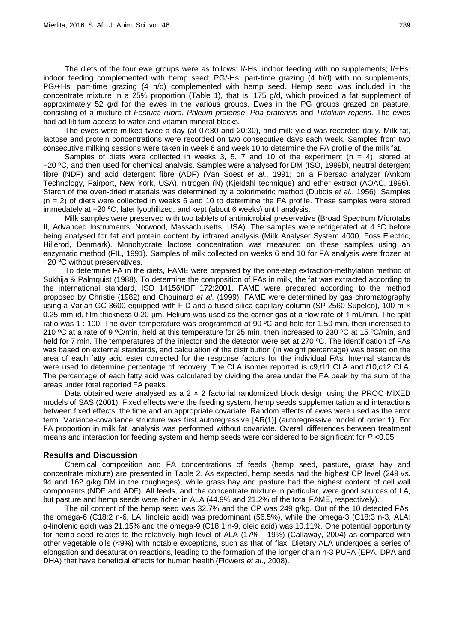The diets of the four ewe groups were as follows: I/-Hs: indoor feeding with no supplements; I/+Hs: indoor feeding complemented with hemp seed; PG/-Hs: part-time grazing (4 h/d) with no supplements; PG/+Hs: part-time grazing (4 h/d) complemented with hemp seed. Hemp seed was included in the concentrate mixture in a 25% proportion (Table 1), that is, 175 g/d, which provided a fat supplement of approximately 52 g/d for the ewes in the various groups. Ewes in the PG groups grazed on pasture, consisting of a mixture of *Festuca rubra*, *Phleum pratense*, *Poa pratensis* and *Trifolium repens.* The ewes had ad libitum access to water and vitamin-mineral blocks.

The ewes were milked twice a day (at 07:30 and 20:30), and milk yield was recorded daily. Milk fat, lactose and protein concentrations were recorded on two consecutive days each week. Samples from two consecutive milking sessions were taken in week 6 and week 10 to determine the FA profile of the milk fat.

Samples of diets were collected in weeks 3, 5, 7 and 10 of the experiment  $(n = 4)$ , stored at −20 ºC, and then used for chemical analysis. Samples were analysed for DM (ISO, 1999b), neutral detergent fibre (NDF) and acid detergent fibre (ADF) (Van Soest *et al*., 1991; on a Fibersac analyzer (Ankom Technology, Fairport, New York, USA), nitrogen (N) (Kjeldahl technique) and ether extract (AOAC, 1996). Starch of the oven-dried materials was determined by a colorimetric method (Dubois *et al*., 1956). Samples (n = 2) of diets were collected in weeks 6 and 10 to determine the FA profile. These samples were stored immedately at −20 ºC, later lyophilized, and kept (about 6 weeks) until analysis.

Milk samples were preserved with two tablets of antimicrobial preservative (Broad Spectrum Microtabs II, Advanced Instruments, Norwood, Massachusetts, USA). The samples were refrigerated at 4 ºC before being analysed for fat and protein content by infrared analysis (Milk Analyser System 4000, Foss Electric, Hillerod, Denmark). Monohydrate lactose concentration was measured on these samples using an enzymatic method (FIL, 1991). Samples of milk collected on weeks 6 and 10 for FA analysis were frozen at −20 ºC without preservatives.

To determine FA in the diets, FAME were prepared by the one-step extraction-methylation method of Sukhija & Palmquist (1988). To determine the composition of FAs in milk, the fat was extracted according to the international standard, ISO 14156/IDF 172:2001. FAME were prepared according to the method proposed by Christie (1982) and Chouinard *et al*. (1999); FAME were determined by gas chromatography using a Varian GC 3600 equipped with FID and a fused silica capillary column (SP 2560 Supelco), 100 m  $\times$ 0.25 mm id, film thickness 0.20 μm. Helium was used as the carrier gas at a flow rate of 1 mL/min. The split ratio was 1 : 100. The oven temperature was programmed at 90 °C and held for 1.50 min, then increased to 210 ºC at a rate of 9 ºC/min, held at this temperature for 25 min, then increased to 230 ºC at 15 ºC/min, and held for 7 min. The temperatures of the injector and the detector were set at 270 °C. The identification of FAs was based on external standards, and calculation of the distribution (in weight percentage) was based on the area of each fatty acid ester corrected for the response factors for the individual FAs. Internal standards were used to determine percentage of recovery. The CLA isomer reported is *c*9,*t*11 CLA and *t*10,*c*12 CLA. The percentage of each fatty acid was calculated by dividing the area under the FA peak by the sum of the areas under total reported FA peaks.

Data obtained were analysed as a  $2 \times 2$  factorial randomized block design using the PROC MIXED models of SAS (2001). Fixed effects were the feeding system, hemp seeds supplementation and interactions between fixed effects, the time and an appropriate covariate. Random effects of ewes were used as the error term. Variance-covariance structure was first autoregressive [AR(1)] (autoregressive model of order 1). For FA proportion in milk fat, analysis was performed without covariate. Overall differences between treatment means and interaction for feeding system and hemp seeds were considered to be significant for *P* <0.05.

### **Results and Discussion**

Chemical composition and FA concentrations of feeds (hemp seed, pasture, grass hay and concentrate mixture) are presented in Table 2. As expected, hemp seeds had the highest CP level (249 vs. 94 and 162 g/kg DM in the roughages), while grass hay and pasture had the highest content of cell wall components (NDF and ADF). All feeds, and the concentrate mixture in particular, were good sources of LA, but pasture and hemp seeds were richer in ALA (44.9% and 21.2% of the total FAME, respectively).

The oil content of the hemp seed was 32.7% and the CP was 249 g/kg. Out of the 10 detected FAs, the omega-6 (C18:2 n-6, LA: linoleic acid) was predominant (56.5%), while the omega-3 (C18:3 n-3, ALA: α-linolenic acid) was 21.15% and the omega-9 (C18:1 n-9, oleic acid) was 10.11%. One potential opportunity for hemp seed relates to the relatively high level of ALA (17% - 19%) (Callaway, 2004) as compared with other vegetable oils (<9%) with notable exceptions, such as that of flax. Dietary ALA undergoes a series of elongation and desaturation reactions, leading to the formation of the longer chain n-3 PUFA (EPA, DPA and DHA) that have beneficial effects for human health (Flowers *et al*., 2008).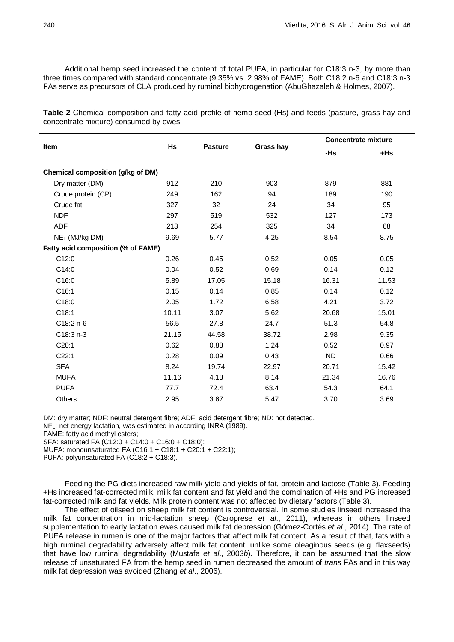Additional hemp seed increased the content of total PUFA, in particular for C18:3 n-3, by more than three times compared with standard concentrate (9.35% vs. 2.98% of FAME). Both C18:2 n-6 and C18:3 n-3 FAs serve as precursors of CLA produced by ruminal biohydrogenation (AbuGhazaleh & Holmes, 2007).

**Table 2** Chemical composition and fatty acid profile of hemp seed (Hs) and feeds (pasture, grass hay and concentrate mixture) consumed by ewes

| Item                               |       |                |           |           | <b>Concentrate mixture</b> |  |  |
|------------------------------------|-------|----------------|-----------|-----------|----------------------------|--|--|
|                                    | Hs    | <b>Pasture</b> | Grass hay | -Hs       | $+$ Hs                     |  |  |
| Chemical composition (g/kg of DM)  |       |                |           |           |                            |  |  |
| Dry matter (DM)                    | 912   | 210            | 903       | 879       | 881                        |  |  |
| Crude protein (CP)                 | 249   | 162            | 94        | 189       | 190                        |  |  |
| Crude fat                          | 327   | 32             | 24        | 34        | 95                         |  |  |
| <b>NDF</b>                         | 297   | 519            | 532       | 127       | 173                        |  |  |
| <b>ADF</b>                         | 213   | 254            | 325       | 34        | 68                         |  |  |
| NE <sub>L</sub> (MJ/kg DM)         | 9.69  | 5.77           | 4.25      | 8.54      | 8.75                       |  |  |
| Fatty acid composition (% of FAME) |       |                |           |           |                            |  |  |
| C12:0                              | 0.26  | 0.45           | 0.52      | 0.05      | 0.05                       |  |  |
| C14:0                              | 0.04  | 0.52           | 0.69      | 0.14      | 0.12                       |  |  |
| C16:0                              | 5.89  | 17.05          | 15.18     | 16.31     | 11.53                      |  |  |
| C16:1                              | 0.15  | 0.14           | 0.85      | 0.14      | 0.12                       |  |  |
| C18:0                              | 2.05  | 1.72           | 6.58      | 4.21      | 3.72                       |  |  |
| C18:1                              | 10.11 | 3.07           | 5.62      | 20.68     | 15.01                      |  |  |
| C18:2 n-6                          | 56.5  | 27.8           | 24.7      | 51.3      | 54.8                       |  |  |
| C18:3 n-3                          | 21.15 | 44.58          | 38.72     | 2.98      | 9.35                       |  |  |
| C20:1                              | 0.62  | 0.88           | 1.24      | 0.52      | 0.97                       |  |  |
| C22:1                              | 0.28  | 0.09           | 0.43      | <b>ND</b> | 0.66                       |  |  |
| <b>SFA</b>                         | 8.24  | 19.74          | 22.97     | 20.71     | 15.42                      |  |  |
| <b>MUFA</b>                        | 11.16 | 4.18           | 8.14      | 21.34     | 16.76                      |  |  |
| <b>PUFA</b>                        | 77.7  | 72.4           | 63.4      | 54.3      | 64.1                       |  |  |
| Others                             | 2.95  | 3.67           | 5.47      | 3.70      | 3.69                       |  |  |

DM: dry matter; NDF: neutral detergent fibre; ADF: acid detergent fibre; ND: not detected. NEL: net energy lactation, was estimated in according INRA (1989).

FAME: fatty acid methyl esters;

SFA: saturated FA (C12:0 + C14:0 + C16:0 + C18:0); MUFA: monounsaturated FA (C16:1 + C18:1 + C20:1 + C22:1);

PUFA: polyunsaturated FA (C18:2 + C18:3).

Feeding the PG diets increased raw milk yield and yields of fat, protein and lactose (Table 3). Feeding +Hs increased fat-corrected milk, milk fat content and fat yield and the combination of +Hs and PG increased fat-corrected milk and fat yields. Milk protein content was not affected by dietary factors (Table 3).

The effect of oilseed on sheep milk fat content is controversial. In some studies linseed increased the milk fat concentration in mid-lactation sheep (Caroprese *et al*., 2011), whereas in others linseed supplementation to early lactation ewes caused milk fat depression (Gómez-Cortés *et al*., 2014). The rate of PUFA release in rumen is one of the major factors that affect milk fat content. As a result of that, fats with a high ruminal degradability adversely affect milk fat content, unlike some oleaginous seeds (e.g. flaxseeds) that have low ruminal degradability (Mustafa *et al*., 2003*b*). Therefore, it can be assumed that the slow release of unsaturated FA from the hemp seed in rumen decreased the amount of *trans* FAs and in this way milk fat depression was avoided (Zhang *et al*., 2006).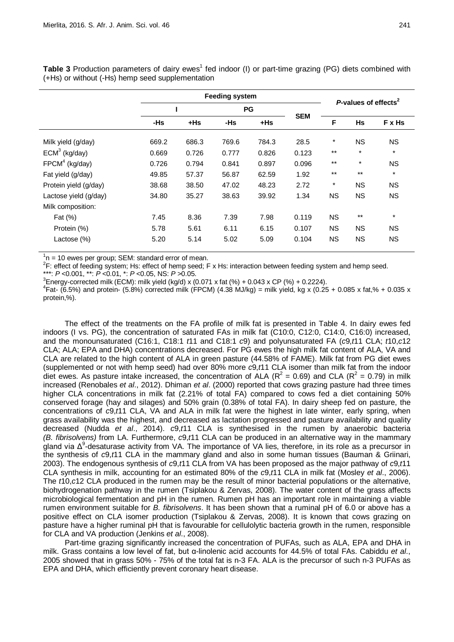|                       | <b>Feeding system</b> |        |           |        |            |                                  |           |           |
|-----------------------|-----------------------|--------|-----------|--------|------------|----------------------------------|-----------|-----------|
|                       |                       |        | <b>PG</b> |        |            | P-values of effects <sup>2</sup> |           |           |
|                       | -Hs                   | $+$ Hs | -Hs       | $+$ Hs | <b>SEM</b> | F                                | <b>Hs</b> | F x Hs    |
| Milk yield (g/day)    | 669.2                 | 686.3  | 769.6     | 784.3  | 28.5       | $\star$                          | <b>NS</b> | <b>NS</b> |
| $ECM3$ (kg/day)       | 0.669                 | 0.726  | 0.777     | 0.826  | 0.123      | $***$                            | $\star$   | $\star$   |
| $FPCM4$ (kg/day)      | 0.726                 | 0.794  | 0.841     | 0.897  | 0.096      | $***$                            | $\star$   | <b>NS</b> |
| Fat yield (g/day)     | 49.85                 | 57.37  | 56.87     | 62.59  | 1.92       | $***$                            | $***$     | $\star$   |
| Protein yield (g/day) | 38.68                 | 38.50  | 47.02     | 48.23  | 2.72       | $^\star$                         | <b>NS</b> | <b>NS</b> |
| Lactose yield (g/day) | 34.80                 | 35.27  | 38.63     | 39.92  | 1.34       | <b>NS</b>                        | <b>NS</b> | <b>NS</b> |
| Milk composition:     |                       |        |           |        |            |                                  |           |           |
| Fat (%)               | 7.45                  | 8.36   | 7.39      | 7.98   | 0.119      | <b>NS</b>                        | $***$     | $\star$   |
| Protein (%)           | 5.78                  | 5.61   | 6.11      | 6.15   | 0.107      | <b>NS</b>                        | <b>NS</b> | <b>NS</b> |
| Lactose (%)           | 5.20                  | 5.14   | 5.02      | 5.09   | 0.104      | <b>NS</b>                        | <b>NS</b> | NS.       |

**Table 3** Production parameters of dairy ewes<sup>1</sup> fed indoor (I) or part-time grazing (PG) diets combined with (+Hs) or without (-Hs) hemp seed supplementation

 $1<sup>1</sup>n = 10$  ewes per group; SEM: standard error of mean.

 ${}^{2}$ F: effect of feeding system; Hs: effect of hemp seed; F x Hs: interaction between feeding system and hemp seed. \*\*\*: *<sup>P</sup>* <0.001, \*\*: *<sup>P</sup>* <0.01, \*: *<sup>P</sup>* <0.05, NS: *<sup>P</sup>* >0.05. <sup>3</sup>

<sup>3</sup>Energy-corrected milk (ECM): milk yield (kg/d) x (0.071 x fat (%) + 0.043 x CP (%) + 0.2224).

 $4$ Fat- (6.5%) and protein- (5.8%) corrected milk (FPCM) (4.38 MJ/kg) = milk yield, kg x (0.25 + 0.085 x fat,% + 0.035 x protein,%).

The effect of the treatments on the FA profile of milk fat is presented in Table 4. In dairy ewes fed indoors (I vs. PG), the concentration of saturated FAs in milk fat (C10:0, C12:0, C14:0, C16:0) increased, and the monounsaturated (C16:1, C18:1 *t*11 and C18:1 *c*9) and polyunsaturated FA (*c*9,*t*11 CLA; *t*10,*c*12 CLA; ALA; EPA and DHA) concentrations decreased. For PG ewes the high milk fat content of ALA, VA and CLA are related to the high content of ALA in green pasture (44.58% of FAME). Milk fat from PG diet ewes (supplemented or not with hemp seed) had over 80% more *c*9,*t*11 CLA isomer than milk fat from the indoor diet ewes. As pasture intake increased, the concentration of ALA ( $R^2$  = 0.69) and CLA ( $R^2$  = 0.79) in milk increased (Renobales *et al*., 2012). Dhiman *et al*. (2000) reported that cows grazing pasture had three times higher CLA concentrations in milk fat (2.21% of total FA) compared to cows fed a diet containing 50% conserved forage (hay and silages) and 50% grain (0.38% of total FA). In dairy sheep fed on pasture, the concentrations of *c*9,*t*11 CLA, VA and ALA in milk fat were the highest in late winter, early spring, when grass availability was the highest, and decreased as lactation progressed and pasture availability and quality decreased (Nudda *et al*., 2014). *c*9,*t*11 CLA is synthesised in the rumen by anaerobic bacteria *(B. fibrisolvens)* from LA. Furthermore, *c*9,*t*11 CLA can be produced in an alternative way in the mammary gland via  $\Delta^9$ -desaturase activity from VA. The importance of VA lies, therefore, in its role as a precursor in the synthesis of *c*9,*t*11 CLA in the mammary gland and also in some human tissues (Bauman & Griinari, 2003). The endogenous synthesis of *c*9,*t*11 CLA from VA has been proposed as the major pathway of *c*9,*t*11 CLA synthesis in milk, accounting for an estimated 80% of the *c*9,*t*11 CLA in milk fat (Mosley *et al*., 2006). The *t*10,*c*12 CLA produced in the rumen may be the result of minor bacterial populations or the alternative, biohydrogenation pathway in the rumen (Tsiplakou & Zervas, 2008). The water content of the grass affects microbiological fermentation and pH in the rumen. Rumen pH has an important role in maintaining a viable rumen environment suitable for *B. fibrisolvens*. It has been shown that a ruminal pH of 6.0 or above has a positive effect on CLA isomer production (Tsiplakou & Zervas, 2008). It is known that cows grazing on pasture have a higher ruminal pH that is favourable for cellulolytic bacteria growth in the rumen, responsible for CLA and VA production (Jenkins *et al*., 2008).

Part-time grazing significantly increased the concentration of PUFAs, such as ALA, EPA and DHA in milk. Grass contains a low level of fat, but α-linolenic acid accounts for 44.5% of total FAs. Cabiddu *et al*., 2005 showed that in grass 50% - 75% of the total fat is n-3 FA. ALA is the precursor of such n-3 PUFAs as EPA and DHA, which efficiently prevent coronary heart disease.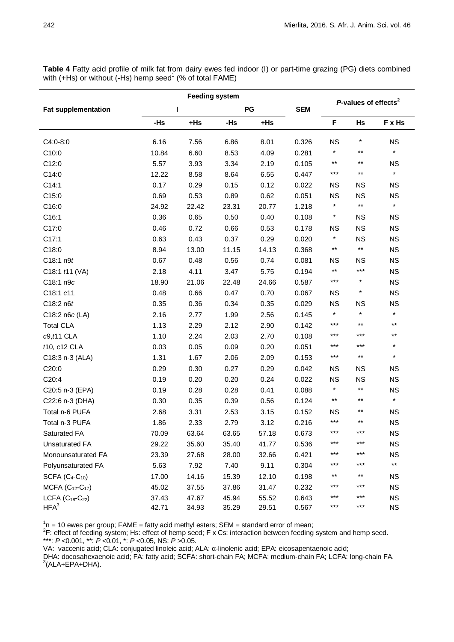| <b>Fat supplementation</b> |       |        |       |       |            |                                  |                 |                 |
|----------------------------|-------|--------|-------|-------|------------|----------------------------------|-----------------|-----------------|
|                            | L     |        | PG    |       | <b>SEM</b> | P-values of effects <sup>2</sup> |                 |                 |
|                            | $-Hs$ | $+$ Hs | -Hs   | +Hs   |            | F                                | <b>Hs</b>       | F x Hs          |
| $C4:0-8:0$                 | 6.16  | 7.56   | 6.86  | 8.01  | 0.326      | <b>NS</b>                        | $^\star$        | <b>NS</b>       |
| C10:0                      | 10.84 | 6.60   | 8.53  | 4.09  | 0.281      | $\star$                          | $***$           | $\star$         |
| C12:0                      | 5.57  | 3.93   | 3.34  | 2.19  | 0.105      | $^{\star\star}$                  | $***$           | <b>NS</b>       |
| C14:0                      | 12.22 | 8.58   | 8.64  | 6.55  | 0.447      | $***$                            | $^{\star\star}$ | $\star$         |
| C14:1                      | 0.17  | 0.29   | 0.15  | 0.12  | 0.022      | <b>NS</b>                        | <b>NS</b>       | <b>NS</b>       |
| C15:0                      | 0.69  | 0.53   | 0.89  | 0.62  | 0.051      | <b>NS</b>                        | <b>NS</b>       | <b>NS</b>       |
| C16:0                      | 24.92 | 22.42  | 23.31 | 20.77 | 1.218      | $\star$                          | $\star\star$    | $\star$         |
| C16:1                      | 0.36  | 0.65   | 0.50  | 0.40  | 0.108      | $\ast$                           | <b>NS</b>       | <b>NS</b>       |
| C17:0                      | 0.46  | 0.72   | 0.66  | 0.53  | 0.178      | ΝS                               | <b>NS</b>       | <b>NS</b>       |
| C17:1                      | 0.63  | 0.43   | 0.37  | 0.29  | 0.020      | $^{\displaystyle\star}$          | <b>NS</b>       | <b>NS</b>       |
| C18:0                      | 8.94  | 13.00  | 11.15 | 14.13 | 0.368      | $***$                            | $^{\star\star}$ | <b>NS</b>       |
| $C18:1$ n $9t$             | 0.67  | 0.48   | 0.56  | 0.74  | 0.081      | ΝS                               | <b>NS</b>       | <b>NS</b>       |
| C18:1 <i>t</i> 11 (VA)     | 2.18  | 4.11   | 3.47  | 5.75  | 0.194      | $^{\star\star}$                  | $***$           | <b>NS</b>       |
| C18:1 n9c                  | 18.90 | 21.06  | 22.48 | 24.66 | 0.587      | $***$                            | $\star$         | <b>NS</b>       |
| C18:1 c11                  | 0.48  | 0.66   | 0.47  | 0.70  | 0.067      | <b>NS</b>                        | $^{\star}$      | <b>NS</b>       |
| $C18:2$ n $6t$             | 0.35  | 0.36   | 0.34  | 0.35  | 0.029      | <b>NS</b>                        | <b>NS</b>       | <b>NS</b>       |
| C18:2 n6c (LA)             | 2.16  | 2.77   | 1.99  | 2.56  | 0.145      | $\star$                          | $\star$         | $\star$         |
| <b>Total CLA</b>           | 1.13  | 2.29   | 2.12  | 2.90  | 0.142      | $***$                            | $***$           | $\star\star$    |
| $c9, t11$ CLA              | 1.10  | 2.24   | 2.03  | 2.70  | 0.108      | ***                              | $***$           | $***$           |
| t10, c12 CLA               | 0.03  | 0.05   | 0.09  | 0.20  | 0.051      | ***                              | ***             | $\star$         |
| C18:3 n-3 (ALA)            | 1.31  | 1.67   | 2.06  | 2.09  | 0.153      | $***$                            | $^{\star\star}$ | $\star$         |
| C20:0                      | 0.29  | 0.30   | 0.27  | 0.29  | 0.042      | <b>NS</b>                        | <b>NS</b>       | <b>NS</b>       |
| C20:4                      | 0.19  | 0.20   | 0.20  | 0.24  | 0.022      | <b>NS</b>                        | <b>NS</b>       | <b>NS</b>       |
| C20:5 n-3 (EPA)            | 0.19  | 0.28   | 0.28  | 0.41  | 0.088      | $\star$                          | $^{\star\star}$ | <b>NS</b>       |
| C22:6 n-3 (DHA)            | 0.30  | 0.35   | 0.39  | 0.56  | 0.124      | $^{\star\star}$                  | $***$           | $\star$         |
| Total n-6 PUFA             | 2.68  | 3.31   | 2.53  | 3.15  | 0.152      | <b>NS</b>                        | $***$           | <b>NS</b>       |
| Total n-3 PUFA             | 1.86  | 2.33   | 2.79  | 3.12  | 0.216      | ***                              | $^{\star\star}$ | <b>NS</b>       |
| Saturated FA               | 70.09 | 63.64  | 63.65 | 57.18 | 0.673      | $***$                            | $***$           | NS              |
| <b>Unsaturated FA</b>      | 29.22 | 35.60  | 35.40 | 41.77 | 0.536      | ***                              | $***$           | ΝS              |
| Monounsaturated FA         | 23.39 | 27.68  | 28.00 | 32.66 | 0.421      | ***                              | ***             | <b>NS</b>       |
| Polyunsaturated FA         | 5.63  | 7.92   | 7.40  | 9.11  | 0.304      | ***                              | ***             | $^{\star\star}$ |
| SCFA $(C_4-C_{10})$        | 17.00 | 14.16  | 15.39 | 12.10 | 0.198      | $***$                            | $***$           | <b>NS</b>       |
| MCFA $(C_{12}-C_{17})$     | 45.02 | 37.55  | 37.86 | 31.47 | 0.232      | ***                              | ***             | <b>NS</b>       |
| LCFA $(C_{18}$ - $C_{22})$ | 37.43 | 47.67  | 45.94 | 55.52 | 0.643      | ***                              | ***             | <b>NS</b>       |
| HFA <sup>3</sup>           | 42.71 | 34.93  | 35.29 | 29.51 | 0.567      | $***$                            | ***             | <b>NS</b>       |

**Table 4** Fatty acid profile of milk fat from dairy ewes fed indoor (I) or part-time grazing (PG) diets combined with ( $+$ Hs) or without ( $-$ Hs) hemp seed<sup>1</sup> (% of total FAME)

 $^1$ n = 10 ewes per group; FAME = fatty acid methyl esters; SEM = standard error of mean;<br><sup>2</sup>F: effect of feeding system; Hs: effect of hemp seed; F x Cs: interaction between feeding system and hemp seed.

\*\*\*: *P* <0.001, \*\*: *P* <0.01, \*: *P* <0.05, NS: *P* >0.05.

VA: vaccenic acid; CLA: conjugated linoleic acid; ALA: α-linolenic acid; EPA: eicosapentaenoic acid;

DHA: docosahexaenoic acid; FA: fatty acid; SCFA: short-chain FA; MCFA: medium-chain FA; LCFA: long-chain FA.  $3$ (ALA+EPA+DHA).

j.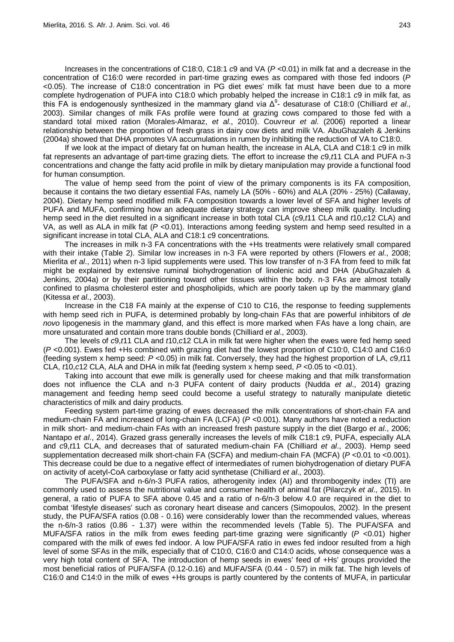Increases in the concentrations of C18:0, C18:1 *c*9 and VA (*P* <0.01) in milk fat and a decrease in the concentration of C16:0 were recorded in part-time grazing ewes as compared with those fed indoors (*P* <0.05). The increase of C18:0 concentration in PG diet ewes' milk fat must have been due to a more complete hydrogenation of PUFA into C18:0 which probably helped the increase in C18:1 *c*9 in milk fat, as this FA is endogenously synthesized in the mammary gland via Δ<sup>9</sup>- desaturase of C18:0 (Chilliard *et al.*, 2003). Similar changes of milk FAs profile were found at grazing cows compared to those fed with a standard total mixed ration (Morales-Almaraz, *et al*., 2010). Couvreur *et al*. (2006) reported a linear relationship between the proportion of fresh grass in dairy cow diets and milk VA. AbuGhazaleh & Jenkins (2004a) showed that DHA promotes VA accumulations in rumen by inhibiting the reduction of VA to C18:0.

If we look at the impact of dietary fat on human health, the increase in ALA, CLA and C18:1 *c*9 in milk fat represents an advantage of part-time grazing diets. The effort to increase the *c*9,*t*11 CLA and PUFA n-3 concentrations and change the fatty acid profile in milk by dietary manipulation may provide a functional food for human consumption.

The value of hemp seed from the point of view of the primary components is its FA composition, because it contains the two dietary essential FAs, namely LA (50% - 60%) and ALA (20% - 25%) (Callaway, 2004). Dietary hemp seed modified milk FA composition towards a lower level of SFA and higher levels of PUFA and MUFA, confirming how an adequate dietary strategy can improve sheep milk quality. Including hemp seed in the diet resulted in a significant increase in both total CLA (*c*9,*t*11 CLA and *t*10,*c*12 CLA) and VA, as well as ALA in milk fat (*P* <0.01). Interactions among feeding system and hemp seed resulted in a significant increase in total CLA, ALA and C18:1 *c*9 concentrations.

The increases in milk n-3 FA concentrations with the +Hs treatments were relatively small compared with their intake (Table 2). Similar low increases in n-3 FA were reported by others (Flowers *et al*., 2008; Mierlita *et al*., 2011) when n-3 lipid supplements were used. This low transfer of n-3 FA from feed to milk fat might be explained by extensive ruminal biohydrogenation of linolenic acid and DHA (AbuGhazaleh & Jenkins, 2004a) or by their partitioning toward other tissues within the body. n-3 FAs are almost totally confined to plasma cholesterol ester and phospholipids, which are poorly taken up by the mammary gland (Kitessa *et al*., 2003).

Increase in the C18 FA mainly at the expense of C10 to C16, the response to feeding supplements with hemp seed rich in PUFA, is determined probably by long-chain FAs that are powerful inhibitors of *de novo* lipogenesis in the mammary gland, and this effect is more marked when FAs have a long chain, are more unsaturated and contain more trans double bonds (Chilliard *et al*., 2003).

The levels of *c*9,*t*11 CLA and *t*10,*c*12 CLA in milk fat were higher when the ewes were fed hemp seed (*P* <0.001). Ewes fed +Hs combined with grazing diet had the lowest proportion of C10:0, C14:0 and C16:0 (feeding system x hemp seed: *P* <0.05) in milk fat. Conversely, they had the highest proportion of LA, *c*9,*t*11 CLA, *t*10,*c*12 CLA, ALA and DHA in milk fat (feeding system x hemp seed, *P* <0.05 to <0.01).

Taking into account that ewe milk is generally used for cheese making and that milk transformation does not influence the CLA and n-3 PUFA content of dairy products (Nudda *et al*., 2014) grazing management and feeding hemp seed could become a useful strategy to naturally manipulate dietetic characteristics of milk and dairy products.

Feeding system part-time grazing of ewes decreased the milk concentrations of short-chain FA and medium-chain FA and increased of long-chain FA (LCFA) (*P* <0.001). Many authors have noted a reduction in milk short- and medium-chain FAs with an increased fresh pasture supply in the diet (Bargo *et al*., 2006; Nantapo *et al*., 2014). Grazed grass generally increases the levels of milk C18:1 *c*9, PUFA, especially ALA and *c*9,*t*11 CLA, and decreases that of saturated medium-chain FA (Chilliard *et al*., 2003). Hemp seed supplementation decreased milk short-chain FA (SCFA) and medium-chain FA (MCFA) (*P* <0.01 to <0.001). This decrease could be due to a negative effect of intermediates of rumen biohydrogenation of dietary PUFA on activity of acetyl-CoA carboxylase or fatty acid synthetase (Chilliard *et al*., 2003).

The PUFA/SFA and n-6/n-3 PUFA ratios, atherogenity index (AI) and thrombogenity index (TI) are commonly used to assess the nutritional value and consumer health of animal fat (Pilarczyk *et al*., 2015). In general, a ratio of PUFA to SFA above 0.45 and a ratio of n-6/n-3 below 4.0 are required in the diet to combat 'lifestyle diseases' such as coronary heart disease and cancers (Simopoulos, 2002). In the present study, the PUFA/SFA ratios (0.08 - 0.16) were considerably lower than the recommended values, whereas the n-6/n-3 ratios (0.86 - 1.37) were within the recommended levels (Table 5). The PUFA/SFA and MUFA/SFA ratios in the milk from ewes feeding part-time grazing were significantly (*P* <0.01) higher compared with the milk of ewes fed indoor. A low PUFA/SFA ratio in ewes fed indoor resulted from a high level of some SFAs in the milk, especially that of C10:0, C16:0 and C14:0 acids, whose consequence was a very high total content of SFA. The introduction of hemp seeds in ewes' feed of +Hs' groups provided the most beneficial ratios of PUFA/SFA (0.12-0.16) and MUFA/SFA (0.44 - 0.57) in milk fat. The high levels of C16:0 and C14:0 in the milk of ewes +Hs groups is partly countered by the contents of MUFA, in particular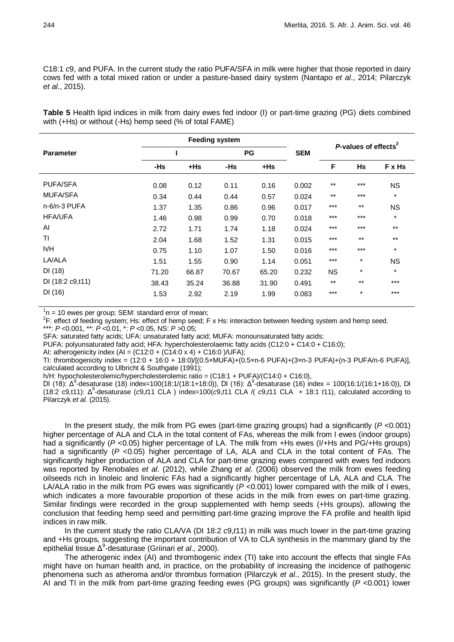C18:1 *c*9, and PUFA. In the current study the ratio PUFA/SFA in milk were higher that those reported in dairy cows fed with a total mixed ration or under a pasture-based dairy system (Nantapo *et al*., 2014; Pilarczyk *et al*., 2015).

**Table 5** Health lipid indices in milk from dairy ewes fed indoor (I) or part-time grazing (PG) diets combined with (+Hs) or without (-Hs) hemp seed (% of total FAME)

|                  | <b>Feeding system</b> |        |           |        |            | P-values of effects <sup>2</sup> |           |           |
|------------------|-----------------------|--------|-----------|--------|------------|----------------------------------|-----------|-----------|
| <b>Parameter</b> |                       |        | <b>PG</b> |        | <b>SEM</b> |                                  |           |           |
|                  | -Hs                   | $+$ Hs | -Hs       | $+$ Hs |            | F                                | <b>Hs</b> | F x Hs    |
| <b>PUFA/SFA</b>  | 0.08                  | 0.12   | 0.11      | 0.16   | 0.002      | $***$                            | $***$     | <b>NS</b> |
| <b>MUFA/SFA</b>  | 0.34                  | 0.44   | 0.44      | 0.57   | 0.024      | $***$                            | $***$     | $\star$   |
| n-6/n-3 PUFA     | 1.37                  | 1.35   | 0.86      | 0.96   | 0.017      | $***$                            | $***$     | <b>NS</b> |
| <b>HFA/UFA</b>   | 1.46                  | 0.98   | 0.99      | 0.70   | 0.018      | $***$                            | $***$     | $\star$   |
| AI               | 2.72                  | 1.71   | 1.74      | 1.18   | 0.024      | $***$                            | $***$     | $***$     |
| ΤI               | 2.04                  | 1.68   | 1.52      | 1.31   | 0.015      | $***$                            | $***$     | $***$     |
| h/H              | 0.75                  | 1.10   | 1.07      | 1.50   | 0.016      | $***$                            | $***$     | $\star$   |
| LA/ALA           | 1.51                  | 1.55   | 0.90      | 1.14   | 0.051      | $***$                            | $\ast$    | <b>NS</b> |
| DI(18)           | 71.20                 | 66.87  | 70.67     | 65.20  | 0.232      | <b>NS</b>                        | $^\ast$   | $\star$   |
| DI (18:2 c9,t11) | 38.43                 | 35.24  | 36.88     | 31.90  | 0.491      | $***$                            | $***$     | $***$     |
| DI(16)           | 1.53                  | 2.92   | 2.19      | 1.99   | 0.083      | $***$                            | $\ast$    | $***$     |

 $1<sup>1</sup>n = 10$  ewes per group; SEM: standard error of mean;

 ${}^{2}$ F: effect of feeding system; Hs: effect of hemp seed; F x Hs: interaction between feeding system and hemp seed.

\*\*\*: *P* <0.001, \*\*: *P* <0.01, \*: *P* <0.05, NS: *P* >0.05;

SFA: saturated fatty acids; UFA: unsaturated fatty acid; MUFA: monounsaturated fatty acids;

PUFA: polyunsaturated fatty acid; HFA: hypercholesterolaemic fatty acids (C12:0 + C14:0 + C16:0);

AI: atherogenicity index  $(A) = (C12:0 + (C14:0 \times 4) + C16:0) / UFA)$ ;

TI: thrombogenicity index = (12:0 + 16:0 + 18:0)/[(0.5×MUFA)+(0.5×n-6 PUFA)+(3×n-3 PUFA)+(n-3 PUFA/n-6 PUFA)], calculated according to Ulbricht & Southgate (1991);

h/H: hypocholesterolemic/hypercholesterolemic ratio = (C18:1 + PUFA)/(C14:0 + C16:0),

DI (18): Δ<sup>9</sup>-desaturase (18) index=100(18:1/(18:1+18:0)), DI (16): Δ<sup>9</sup>-desaturase (16) index = 100(16:1/(16:1+16:0)), DI (18:2 c9,t11): Δ<sup>9</sup> -desaturase (*c*9,*t*11 CLA ) index=100(*c*9,*t*11 CLA /( *c*9,*t*11 CLA + 18:1 *t*11), calculated according to Pilarczyk *et al*. (2015).

In the present study, the milk from PG ewes (part-time grazing groups) had a significantly (*P* <0.001) higher percentage of ALA and CLA in the total content of FAs, whereas the milk from I ewes (indoor groups) had a significantly ( $P$  <0.05) higher percentage of LA. The milk from +Hs ewes (I/+Hs and PG/+Hs groups) had a significantly (P <0.05) higher percentage of LA, ALA and CLA in the total content of FAs. The significantly higher production of ALA and CLA for part-time grazing ewes compared with ewes fed indoors was reported by Renobales *et al*. (2012), while Zhang *et al*. (2006) observed the milk from ewes feeding oilseeds rich in linoleic and linolenic FAs had a significantly higher percentage of LA, ALA and CLA. The LA/ALA ratio in the milk from PG ewes was significantly ( $P < 0.001$ ) lower compared with the milk of I ewes, which indicates a more favourable proportion of these acids in the milk from ewes on part-time grazing. Similar findings were recorded in the group supplemented with hemp seeds (+Hs groups), allowing the conclusion that feeding hemp seed and permitting part-time grazing improve the FA profile and health lipid indices in raw milk.

In the current study the ratio CLA/VA (DI 18:2 *c*9,*t*11) in milk was much lower in the part-time grazing and +Hs groups, suggesting the important contribution of VA to CLA synthesis in the mammary gland by the epithelial tissue Δ<sup>9</sup> -desaturase (Griinari *et al*., 2000).

The atherogenic index (AI) and thrombogenic index (TI) take into account the effects that single FAs might have on human health and, in practice, on the probability of increasing the incidence of pathogenic phenomena such as atheroma and/or thrombus formation (Pilarczyk *et al*., 2015). In the present study, the AI and TI in the milk from part-time grazing feeding ewes (PG groups) was significantly (*P* <0.001) lower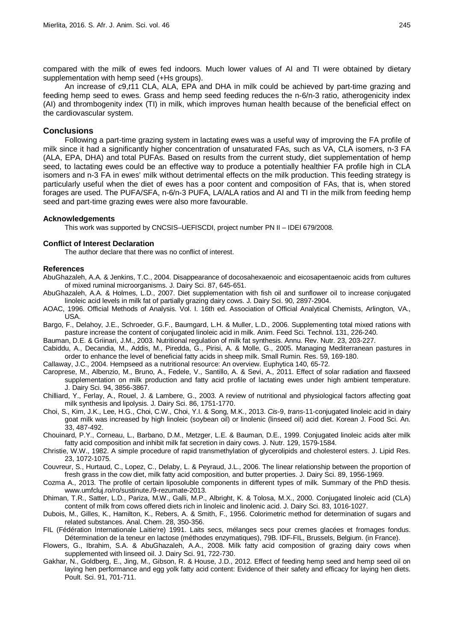compared with the milk of ewes fed indoors. Much lower values of AI and TI were obtained by dietary supplementation with hemp seed (+Hs groups).

An increase of *c*9,*t*11 CLA, ALA, EPA and DHA in milk could be achieved by part-time grazing and feeding hemp seed to ewes. Grass and hemp seed feeding reduces the n-6/n-3 ratio, atherogenicity index (AI) and thrombogenity index (TI) in milk, which improves human health because of the beneficial effect on the cardiovascular system.

## **Conclusions**

Following a part-time grazing system in lactating ewes was a useful way of improving the FA profile of milk since it had a significantly higher concentration of unsaturated FAs, such as VA, CLA isomers, n-3 FA (ALA, EPA, DHA) and total PUFAs. Based on results from the current study, diet supplementation of hemp seed, to lactating ewes could be an effective way to produce a potentially healthier FA profile high in CLA isomers and n-3 FA in ewes' milk without detrimental effects on the milk production. This feeding strategy is particularly useful when the diet of ewes has a poor content and composition of FAs, that is, when stored forages are used. The PUFA/SFA, n-6/n-3 PUFA, LA/ALA ratios and AI and TI in the milk from feeding hemp seed and part-time grazing ewes were also more favourable.

#### **Acknowledgements**

This work was supported by CNCSIS–UEFISCDI, project number PN II – IDEI 679/2008.

### **Conflict of Interest Declaration**

The author declare that there was no conflict of interest.

#### **References**

- AbuGhazaleh, A.A. & Jenkins, T.C., 2004. Disappearance of docosahexaenoic and eicosapentaenoic acids from cultures of mixed ruminal microorganisms. J. Dairy Sci. 87, 645-651.
- AbuGhazaleh, A.A. & Holmes, L.D., 2007. Diet supplementation with fish oil and sunflower oil to increase conjugated linoleic acid levels in milk fat of partially grazing dairy cows. J. Dairy Sci. 90, 2897-2904.
- AOAC, 1996. Official Methods of Analysis. Vol. I. 16th ed. Association of Official Analytical Chemists, Arlington, VA., USA.
- Bargo, F., Delahoy, J.E., Schroeder, G.F., Baumgard, L.H. & Muller, L.D., 2006. Supplementing total mixed rations with pasture increase the content of conjugated linoleic acid in milk. Anim. Feed Sci. Technol. 131, 226-240.
- Bauman, D.E. & Griinari, J.M., 2003. Nutritional regulation of milk fat synthesis. Annu. Rev. Nutr. 23, 203-227.
- Cabiddu, A., Decandia, M., Addis, M., Piredda, G., Pirisi, A. & Molle, G., 2005. Managing Mediterranean pastures in order to enhance the level of beneficial fatty acids in sheep milk. Small Rumin. Res. 59, 169-180.
- Callaway, J.C., 2004. Hempseed as a nutritional resource: An overview. Euphytica 140, 65-72.
- Caroprese, M., Albenzio, M., Bruno, A., Fedele, V., Santillo, A. & Sevi, A., 2011. Effect of solar radiation and flaxseed supplementation on milk production and fatty acid profile of lactating ewes under high ambient temperature. J. Dairy Sci. 94, 3856-3867.
- Chilliard, Y., Ferlay, A., Rouel, J. & Lambere, G., 2003. A review of nutritional and physiological factors affecting goat milk synthesis and lipolysis. J. Dairy Sci. 86, 1751-1770.
- Choi, S., Kim, J.K., Lee, H.G., Choi, C.W., Choi, Y.I. & Song, M.K., 2013. *Cis*-9, *trans*-11-conjugated linoleic acid in dairy goat milk was increased by high linoleic (soybean oil) or linolenic (linseed oil) acid diet. Korean J. Food Sci. An. 33, 487-492.
- Chouinard, P.Y., Corneau, L., Barbano, D.M., Metzger, L.E. & Bauman, D.E., 1999. Conjugated linoleic acids alter milk fatty acid composition and inhibit milk fat secretion in dairy cows. J. Nutr. 129, 1579-1584.
- Christie, W.W., 1982. A simple procedure of rapid transmethylation of glycerolipids and cholesterol esters. J. Lipid Res. 23, 1072-1075.
- Couvreur, S., Hurtaud, C., Lopez, C., Delaby, L. & Peyraud, J.L., 2006. The linear relationship between the proportion of fresh grass in the cow diet, milk fatty acid composition, and butter properties. J. Dairy Sci. 89, 1956-1969.
- Cozma A., 2013. The profile of certain liposoluble components in different types of milk. Summary of the PhD thesis. [www.umfcluj.ro/ro/sustinute./9-rezumate-2013.](http://www.umfcluj.ro/ro/sustinute./9-rezumate-2013)
- Dhiman, T.R., Satter, L.D., Pariza, M.W., Galli, M.P., Albright, K. & Tolosa, M.X., 2000. Conjugated linoleic acid (CLA) content of milk from cows offered diets rich in linoleic and linolenic acid. J. Dairy Sci. 83, 1016-1027.
- Dubois, M., Gilles, K., Hamilton, K., Rebers, A. & Smith, F., 1956. Colorimetric method for determination of sugars and related substances. Anal. Chem. 28, 350-356.
- FIL (Fédération Internationale Laitie're) 1991. Laits secs, mélanges secs pour cremes glacées et fromages fondus. Détermination de la teneur en lactose (méthodes enzymatiques), 79B. IDF-FIL, Brussels, Belgium. (in France).
- Flowers, G., Ibrahim, S.A. & AbuGhazaleh, A.A., 2008. Milk fatty acid composition of grazing dairy cows when supplemented with linseed oil. J. Dairy Sci. 91, 722-730.
- Gakhar, N., Goldberg, E., Jing, M., Gibson, R. & House, J.D., 2012. Effect of feeding hemp seed and hemp seed oil on laying hen performance and egg yolk fatty acid content: Evidence of their safety and efficacy for laying hen diets. Poult. Sci. 91, 701-711.